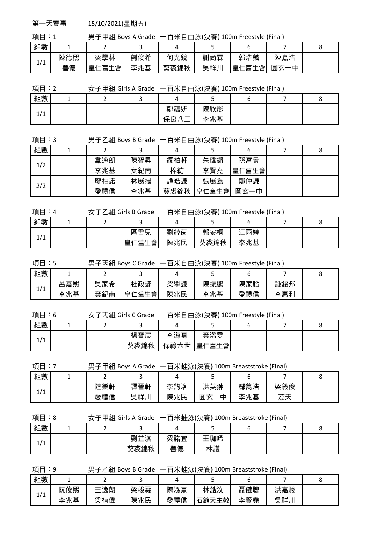第一天賽事 15/10/2021(星期五)

項目:1 男子甲組 Boys A Grade 一百米自由泳(決賽) 100m Freestyle (Final)

| 組數  |     |                          |     |      |     |                            |          |  |
|-----|-----|--------------------------|-----|------|-----|----------------------------|----------|--|
| 1/1 | 陳德熙 | 梁學林                      | 劉俊希 | 何光銳  | 謝尚霖 | 郭浩麟                        | 陳嘉浩      |  |
|     | 善德  | 舊生<br>會<br>皇<br>$\bar{}$ | 李兆基 | 葵裘錦秋 | 吳祥川 | 舊生<br>會<br>皇1<br>$\sqrt{}$ | ,圓才<br>中 |  |

|  | 項目:2 |  | 女子甲組 Girls A Grade   一百米自由泳(決賽) 100m Freestyle (Final) |  |
|--|------|--|--------------------------------------------------------|--|
|--|------|--|--------------------------------------------------------|--|

| 組數                   | - | - |                          |     |  | ∼ |
|----------------------|---|---|--------------------------|-----|--|---|
| $\overline{14}$<br>- |   |   | 鄭蘊妍                      | 陳欣彤 |  |   |
| ÷<br><b>.</b>        |   |   | 保.<br>__<br>曱<br>_<br>__ | 兆基  |  |   |

| 項目:3 |  |  | 男子乙組 Boys B Grade 一百米自由泳(決賽) 100m Freestyle (Final) |
|------|--|--|-----------------------------------------------------|
|------|--|--|-----------------------------------------------------|

| 組數  |     |     |      |       |       |  |
|-----|-----|-----|------|-------|-------|--|
| 1/2 | 韋逸朗 | 陳智昇 | 繆柏軒  | 朱瑋鏘   | 孫富景   |  |
|     | 李兆基 | 葉紀南 | 棉紡   | 李賢堯   | 皇仁舊生會 |  |
| 2/2 | 廖柏諾 | 林展揚 | 譚皓謙  | 張展為   | 鄭仲謙   |  |
|     | 愛禮信 | 李兆基 | 葵裘錦秋 | 皇仁舊生會 | 圓玄一中  |  |

項目:4 女子乙組 Girls B Grade 一百米自由泳(決賽) 100m Freestyle (Final)

| 組數             | - |           |     |      |     |  |
|----------------|---|-----------|-----|------|-----|--|
| $\overline{1}$ |   | 區雪兒       | 劉綽茵 | 郭安桐  | 雨婷  |  |
| ъ.<br><b>L</b> |   | 仁舊生會<br>≘ | 陳兆民 | 葵裘錦秋 | 李兆基 |  |

| 項目:5 | 男子丙組 Boys C Grade 一百米自由泳(決賽) 100m Freestyle (Final) |  |
|------|-----------------------------------------------------|--|
|      |                                                     |  |

| 組數  |     |     |                             |     | ۔   |     |     |  |
|-----|-----|-----|-----------------------------|-----|-----|-----|-----|--|
| 1/1 | ¦嘉熙 | 吳家希 | 杜政諺                         | 梁學謙 | 陳振鵬 | 陳家韜 | 鍾銘邦 |  |
|     | 李兆基 | 葉紀南 | .舊生會<br>皇<br>$\overline{ }$ | 陳兆民 | 李兆基 | 愛禮信 | 李惠利 |  |

項目:6 女子丙組 Girls C Grade 一百米自由泳(決賽) 100m Freestyle (Final)

| 組數              |  |      |      | ۔                      |  |  |
|-----------------|--|------|------|------------------------|--|--|
| $\overline{14}$ |  | 楊寶宸  | 李海晴  | 葉浠雯                    |  |  |
| -<br>- 1        |  | 葵裘錦秋 | 保祿六世 | <u>こ舊生會'</u><br>白<br>主 |  |  |

項目:7 男子甲組 Boys A Grade 一百米蛙泳(決賽) 100m Breaststroke (Final)

| 組數              |     |     |     | ۔      |     |     |  |
|-----------------|-----|-----|-----|--------|-----|-----|--|
| $\overline{11}$ | 陸樂軒 | 譚晉軒 | 李鈞洛 | 洪英翀    | 鄺雋浩 | 梁毅俊 |  |
| ᅿ               | 愛禮信 | 吳祥川 | 陳兆民 | 圓<br>中 | 李兆基 | 荔天  |  |

| e.<br>×.<br>w | ×<br>۰. |
|---------------|---------|
|               |         |

項目:8 女子甲組 Girls A Grade 一百米蛙泳(決賽) 100m Breaststroke (Final)

| 組數             |  |      |     |    |  |  |
|----------------|--|------|-----|----|--|--|
| $\overline{1}$ |  | 劉芷淇  | 梁諾宜 | 珈晞 |  |  |
| <b>.</b><br>∸  |  | 葵裘錦秋 | 善德  | 林護 |  |  |

項目:9 男子乙組 Boys B Grade 一百米蛙泳(決賽) 100m Breaststroke (Final)

| 組數  |     |     |     |     |            |     |     |  |
|-----|-----|-----|-----|-----|------------|-----|-----|--|
| 1/1 | 阮俊熙 | 王逸朗 | 梁峻霖 | 陳泓熹 | 林鋯汶        | 聶健聰 | 洪嘉駿 |  |
| -   | 李兆基 | 梁植偉 | 陳兆民 | 愛禮信 | 天主教<br>石籬天 | 李賢堯 | 吳祥川 |  |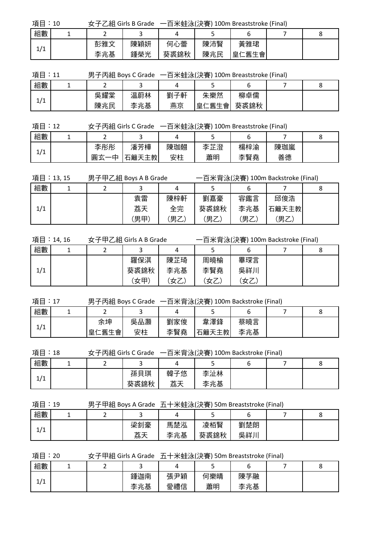| 項目:10 | 一百米蛙泳(決賽) 100m Breaststroke (Final)<br>女子乙組 Girls B Grade |     |      |     |       |  |  |
|-------|-----------------------------------------------------------|-----|------|-----|-------|--|--|
| 組數    |                                                           |     |      |     |       |  |  |
| 1/1   | 彭雅文                                                       | 陳穎妍 | 何心蕾  | 陳沛賢 | 黃雅珺   |  |  |
|       | 李兆基                                                       | 鍾榮光 | 葵裘錦秋 | 陳兆民 | 皇仁舊生會 |  |  |

項目:11 男子丙組 Boys C Grade 一百米蛙泳(決賽) 100m Breaststroke (Final)

| 組數              |     |     |     |             |      |  |
|-----------------|-----|-----|-----|-------------|------|--|
| $\overline{11}$ | 吳耀棠 | 温蔚林 | 劉子軒 | 朱樂然         | 柳卓儒  |  |
| ᅿ               | 陳兆民 | 李兆基 | 燕京  | .仁舊生會'<br>白 | 葵裘錦秋 |  |

| 一百米蛙泳(決賽) 100m Breaststroke (Final)<br>項目:12<br>女子丙組 Girls C Grade |  |     |       |     |     |     |     |  |
|--------------------------------------------------------------------|--|-----|-------|-----|-----|-----|-----|--|
| 組數                                                                 |  |     |       |     |     |     |     |  |
| 1/1                                                                |  | 李彤彤 | 潘芳樺   | 陳珈翹 | 李芷澄 | 楊梓渝 | 陳珈嵐 |  |
|                                                                    |  | 圓玄  | 石籬天主教 | 安柱  | 蕭明  | 李賢堯 | 善德  |  |

|     | 項目:13,15 | 男子甲乙組 Boys A B Grade |     |      |      | 一百米背泳(決賽) 100m Backstroke (Final) |  |
|-----|----------|----------------------|-----|------|------|-----------------------------------|--|
| 組數  |          |                      |     |      |      |                                   |  |
|     |          | 袁雷                   | 陳梓軒 | 劉嘉豪  | 容鑑言  | 邱俊浩                               |  |
| 1/1 |          | 荔天                   | 全完  | 葵裘錦秋 | 李兆基  | 石籬天主教                             |  |
|     |          | [男甲]                 | 男乙  | ′男乙, | (男乙) | '男乙,                              |  |

|     | 項目:14, 16 | 女子甲乙組 Girls A B Grade |     |      |     | 一百米背泳(決賽) 100m Backstroke (Final) |  |
|-----|-----------|-----------------------|-----|------|-----|-----------------------------------|--|
| 組數  |           |                       |     |      |     |                                   |  |
|     |           | 羅保淇                   | 陳芷琦 | 周曉榆  | 畢琛言 |                                   |  |
| 1/1 |           | 葵裘錦秋                  | 李兆基 | 李賢堯  | 吳祥川 |                                   |  |
|     |           | (女甲)                  | (女乙 | '女乙, | (女乙 |                                   |  |

| 項目:17 | 男子丙組 Boys C Grade 一百米背泳(決賽) 100m Backstroke (Final) |
|-------|-----------------------------------------------------|
|-------|-----------------------------------------------------|

| 組數             | - |           |     |     |       |     |  |
|----------------|---|-----------|-----|-----|-------|-----|--|
| $\overline{1}$ |   | 余坤        | 吳品灝 | 劉家俊 | 韋澤鋒   | 蔡曉言 |  |
| ᅿᆂ             |   | 舊生會<br>皇仁 | 安柱  | 李賢堯 | 石籬天主教 | 李兆基 |  |

項目:18 女子丙組 Girls C Grade 一百米背泳(決賽) 100m Backstroke (Final)

| 組數                         |  |      |           |     |  |  |
|----------------------------|--|------|-----------|-----|--|--|
| $\overline{14}$<br>л.<br>∸ |  | 孫貝琪  | 韓子悠<br>艺工 | 李沚林 |  |  |
|                            |  | 葵裘錦秋 | カカノ       | 李兆基 |  |  |

項目:19 男子甲組 Boys A Grade 五十米蛙泳(決賽) 50m Breaststroke (Final)

| 組數              |  |     |     |      |     |  |
|-----------------|--|-----|-----|------|-----|--|
| $\overline{14}$ |  | 梁釗豪 | 馬楚泓 | 凌栢賢  | 劉楚朗 |  |
| . .             |  | 荔天  | 李兆基 | 葵裘錦秋 | 吳祥川 |  |

項目:20 女子甲組 Girls A Grade 五十米蛙泳(決賽) 50m Breaststroke (Final)

| 組數              |  |              |     | -<br>- |     | ີ |
|-----------------|--|--------------|-----|--------|-----|---|
| $\overline{14}$ |  | 鍾迦南          | 張尹穎 | 何樂晴    | 陳芓融 |   |
| -<br>--         |  | 兆基<br>本<br>ᅩ | 愛禮信 | 蕭明     | 李兆基 |   |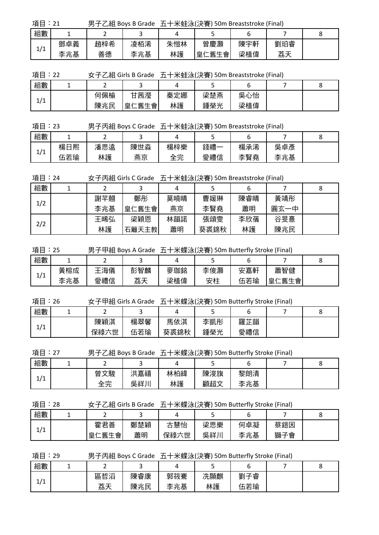項目:21 男子乙組 Boys B Grade 五十米蛙泳(決賽) 50m Breaststroke (Final)

| 組數  |     |     |     |     |            |     |          |  |
|-----|-----|-----|-----|-----|------------|-----|----------|--|
| 1/1 | 鄧卓義 | 趙梓希 | 凌栢浠 | 朱愷林 | 曾慶灝        | 陳宇軒 | 劉珀睿      |  |
|     | 李兆基 | 善德  | 李兆基 | 林護  | 二舊生會'<br>皇 | 梁植偉 | 艻工<br>が入 |  |

項目:22 女子乙組 Girls B Grade 五十米蛙泳(決賽) 50m Breaststroke (Final)

| 組數                  |     |                             |     | -   |     |  |
|---------------------|-----|-----------------------------|-----|-----|-----|--|
| $\overline{1}$<br>ᅿ | 何佩榆 | 甘茜瀅                         | 秦定娜 | 梁楚燕 | 吳心怡 |  |
|                     | 陳兆民 | :舊生會<br>皇<br>$\overline{ }$ | 林護  | 鍾榮光 | 梁植偉 |  |

項目:23 男子丙組 Boys C Grade 五十米蛙泳(決賽) 50m Breaststroke (Final)

| 組數              |         |     |     |     | ـ   |     |         |  |
|-----------------|---------|-----|-----|-----|-----|-----|---------|--|
| $\overline{11}$ | 楊日<br>熙 | 潘思遠 | 陳世淼 | 楊梓樂 | 錢禮· | 楊承浠 | 吳<br>卓彥 |  |
| - 1             | 伍若瑜     | 林護  | 燕京  | 全完  | 愛禮信 | 李賢堯 | 李兆基     |  |

項目:24 女子丙組 Girls C Grade 五十米蛙泳(決賽) 50m Breaststroke (Final)

| 組數  |     |       |     |      | O   |          |  |
|-----|-----|-------|-----|------|-----|----------|--|
|     | 謝芊翹 | 鄭彤    | 莫曉晴 | 曹媛琳  | 陳睿晴 | 黃靖彤      |  |
| 1/2 | 李兆基 | 皇仁舊生會 | 燕京  | 李賢堯  | 蕭明  | 圓玄<br>一中 |  |
|     | 王晞弘 | 梁穎恩   | 林韻諾 | 張頌雯  | 李欣蒨 | 谷旻憙      |  |
| 2/2 | 林護  | 石籬天主教 | 蕭明  | 葵裘錦秋 | 林護  | 陳兆民      |  |

項目:25 男子甲組 Boys A Grade 五十米蝶泳(決賽) 50m Butterfly Stroke (Final)

| 組數                   |     | -   |     |     |     |     |                        |  |
|----------------------|-----|-----|-----|-----|-----|-----|------------------------|--|
| $\overline{11}$<br>ᅿ | 黃榕成 | 海儀  | 彭智麟 | 麥珈銘 | 李俊灝 | 安嘉軒 | 蕭智健                    |  |
|                      | 李兆基 | 愛禮信 | 荔天  | 梁植偉 | 安柱  | 伍若瑜 | 舊生會<br>皇亻<br>$\sqrt{}$ |  |

項目:26 女子甲組 Girls A Grade 五十米蝶泳(決賽) 50m Butterfly Stroke (Final)

| 組數                         | -    |         |      |     |     |  |
|----------------------------|------|---------|------|-----|-----|--|
| $\overline{14}$<br>÷<br>∸' | 陳穎淇  | 楊翠馨     | 馬依淇  | 李凱彤 | 羅芷韻 |  |
|                            | 保祿六世 | 若瑜<br>伍 | 葵裘錦秋 | 鍾榮光 | 愛禮信 |  |

項目:27 男子乙組 Boys B Grade 五十米蝶泳(決賽) 50m Butterfly Stroke (Final)

| 組數                      |         |     |     |     |     |  |
|-------------------------|---------|-----|-----|-----|-----|--|
| $\overline{14}$<br>+  + | 文駿<br>曾 | 洪嘉禧 | 林柏緯 | 陳浚旗 | 黎朗清 |  |
|                         | 全完      | 吳祥川 | 林護  | 顧超文 | 李兆基 |  |

項目:28 女子乙組 Girls B Grade 五十米蝶泳(決賽) 50m Butterfly Stroke (Final)

| 組數                   |               |     |      | ــ  |     |     |  |
|----------------------|---------------|-----|------|-----|-----|-----|--|
| $\overline{11}$<br>∸ | 霍君善           | 鄭楚穎 | 慧怡   | 梁思樂 | 何卓凝 | 蔡鎧因 |  |
|                      | 舊生會<br>白<br>主 | 蕭明  | 保祿六世 | 吳祥川 | 李兆基 | 獅子會 |  |

項目:29 男子丙組 Boys C Grade 五十米蝶泳(決賽) 50m Butterfly Stroke (Final)

| 組數                     |         |     |     |     |     |  |
|------------------------|---------|-----|-----|-----|-----|--|
| $\overline{A}$<br>∸/ ∸ | 哲滔<br>區 | 陳睿康 | 郭筱騫 | 冼顯麒 | 劉子睿 |  |
|                        | 荔天      | 陳兆民 | 李兆基 | 林護  | 伍若瑜 |  |